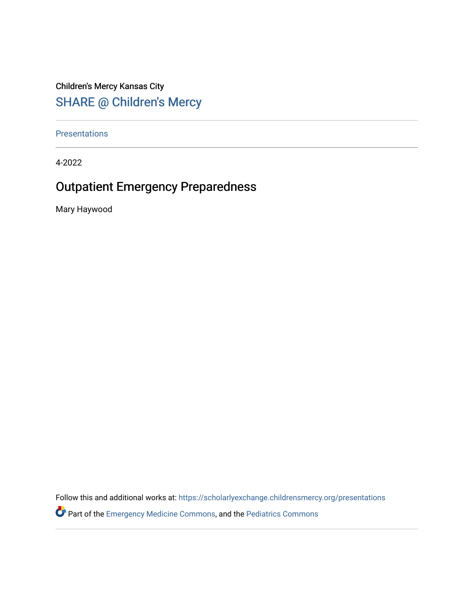Children's Mercy Kansas City SHARE @ Children's Mercy

**Presentations** 

4-2022

#### Outpatient Emergency Preparedness

Mary Haywood

Follow this and additional works at: [https://scholarlyexchange.childrensmercy.org/presentations](https://scholarlyexchange.childrensmercy.org/presentations?utm_source=scholarlyexchange.childrensmercy.org%2Fpresentations%2F69&utm_medium=PDF&utm_campaign=PDFCoverPages)

Part of the [Emergency Medicine Commons](http://network.bepress.com/hgg/discipline/685?utm_source=scholarlyexchange.childrensmercy.org%2Fpresentations%2F69&utm_medium=PDF&utm_campaign=PDFCoverPages), and the [Pediatrics Commons](http://network.bepress.com/hgg/discipline/700?utm_source=scholarlyexchange.childrensmercy.org%2Fpresentations%2F69&utm_medium=PDF&utm_campaign=PDFCoverPages)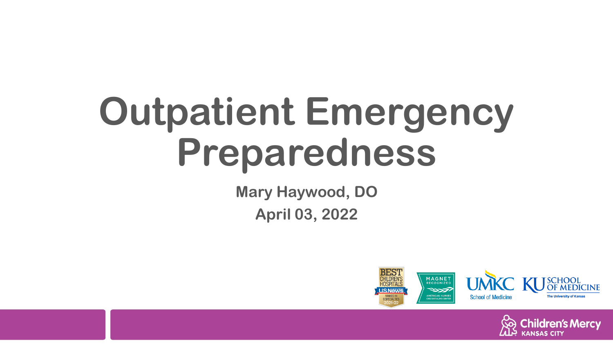# **Outpatient Emergency Preparedness**

**Mary Haywood, DO April 03, 2022**



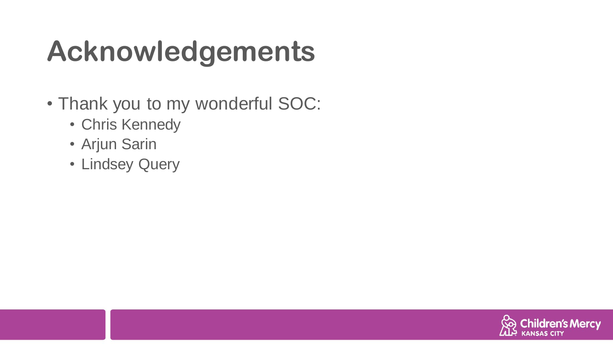# **Acknowledgements**

- Thank you to my wonderful SOC:
	- Chris Kennedy
	- Arjun Sarin
	- Lindsey Query

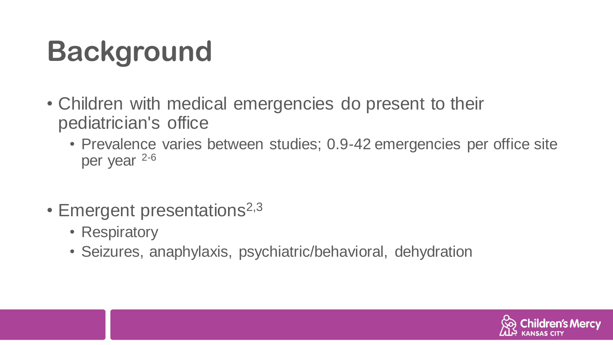# **Background**

- Children with medical emergencies do present to their pediatrician's office
	- Prevalence varies between studies; 0.9-42 emergencies per office site per year 2-6
- Emergent presentations<sup>2,3</sup>
	- Respiratory
	- Seizures, anaphylaxis, psychiatric/behavioral, dehydration

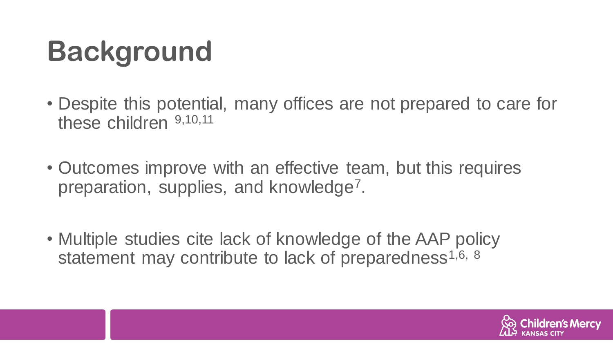# **Background**

- Despite this potential, many offices are not prepared to care for these children 9,10,11
- Outcomes improve with an effective team, but this requires preparation, supplies, and knowledge<sup>7</sup>.
- Multiple studies cite lack of knowledge of the AAP policy statement may contribute to lack of preparedness<sup>1,6, 8</sup>

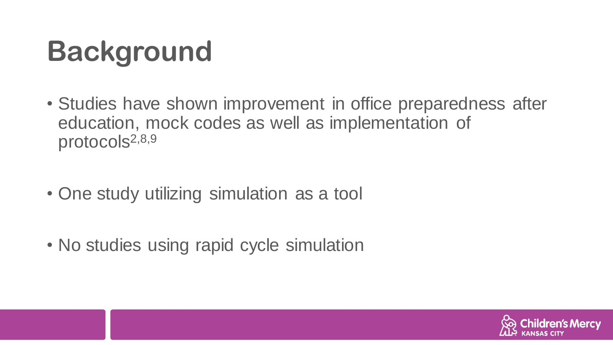### **Background**

- Studies have shown improvement in office preparedness after education, mock codes as well as implementation of protocols<sup>2,8,9</sup>
- One study utilizing simulation as a tool
- No studies using rapid cycle simulation

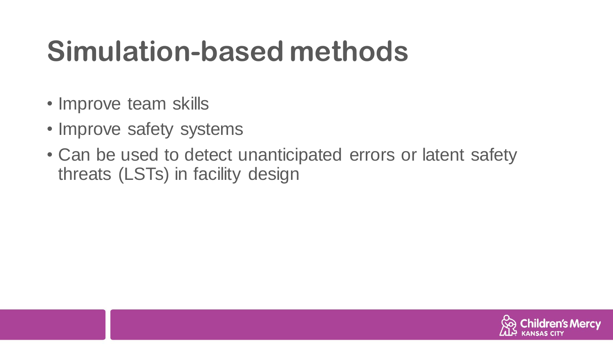#### **Simulation-based methods**

- Improve team skills
- Improve safety systems
- Can be used to detect unanticipated errors or latent safety threats (LSTs) in facility design

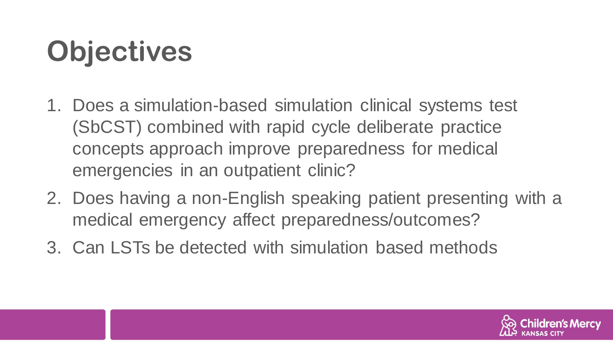# **Objectives**

- 1. Does a simulation-based simulation clinical systems test (SbCST) combined with rapid cycle deliberate practice concepts approach improve preparedness for medical emergencies in an outpatient clinic?
- 2. Does having a non-English speaking patient presenting with a medical emergency affect preparedness/outcomes?
- 3. Can LSTs be detected with simulation based methods

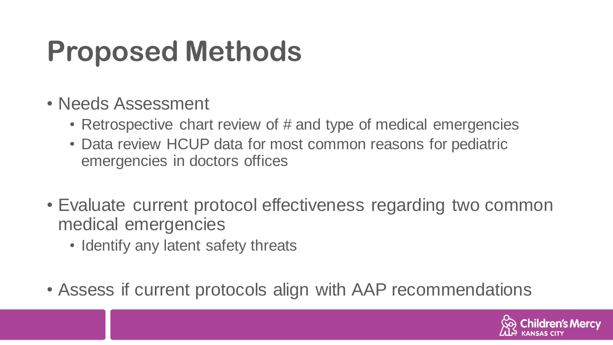#### **Proposed Methods**

- Needs Assessment
	- Retrospective chart review of # and type of medical emergencies
	- Data review HCUP data for most common reasons for pediatric emergencies in doctors offices
- Evaluate current protocol effectiveness regarding two common medical emergencies
	- Identify any latent safety threats
- Assess if current protocols align with AAP recommendations

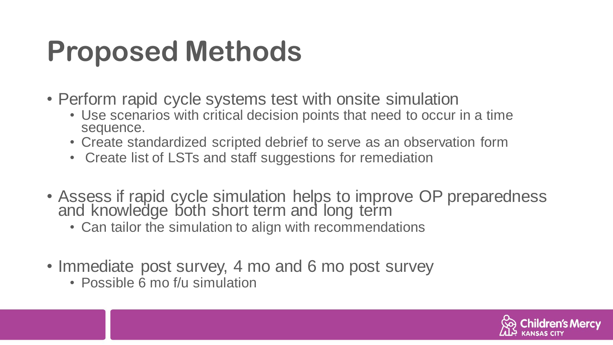#### **Proposed Methods**

- Perform rapid cycle systems test with onsite simulation
	- Use scenarios with critical decision points that need to occur in a time sequence.
	- Create standardized scripted debrief to serve as an observation form
	- Create list of LSTs and staff suggestions for remediation
- Assess if rapid cycle simulation helps to improve OP preparedness and knowledge both short term and long term
	- Can tailor the simulation to align with recommendations
- Immediate post survey, 4 mo and 6 mo post survey
	- Possible 6 mo f/u simulation

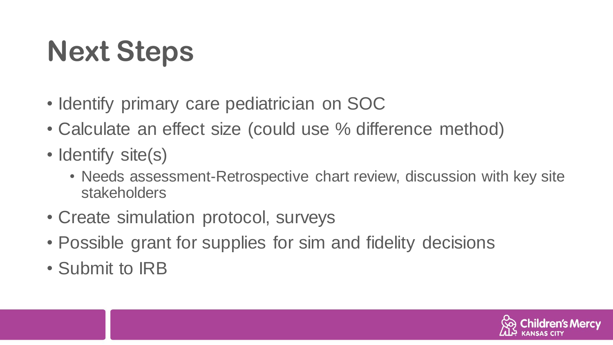# **Next Steps**

- Identify primary care pediatrician on SOC
- Calculate an effect size (could use % difference method)
- Identify site(s)
	- Needs assessment-Retrospective chart review, discussion with key site stakeholders
- Create simulation protocol, surveys
- Possible grant for supplies for sim and fidelity decisions
- Submit to IRB